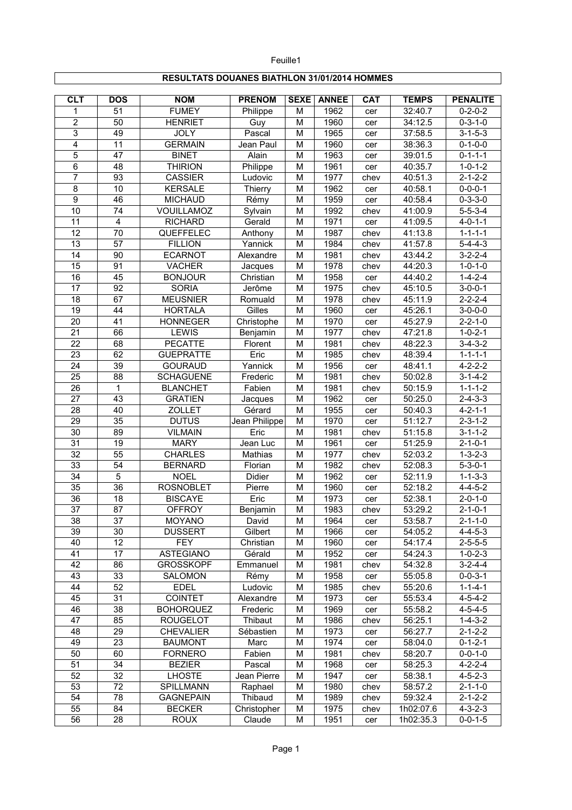## **RESULTATS DOUANES BIATHLON 31/01/2014 HOMMES**

Feuille1

| $\overline{CLT}$ | <b>DOS</b>              | <b>NOM</b>             | <b>PRENOM</b> | <b>SEXE</b> | <b>ANNEE</b> | CAT        | <b>TEMPS</b> | <b>PENALITE</b>       |
|------------------|-------------------------|------------------------|---------------|-------------|--------------|------------|--------------|-----------------------|
| 1                | 51                      | <b>FUMEY</b>           | Philippe      | M           | 1962         | cer        | 32:40.7      | $0 - 2 - 0 - 2$       |
| $\overline{2}$   | 50                      | <b>HENRIET</b>         | Guy           | M           | 1960         | cer        | 34:12.5      | $\overline{0}$ -3-1-0 |
| 3                | 49                      | <b>JOLY</b>            | Pascal        | M           | 1965         | cer        | 37:58.5      | $3 - 1 - 5 - 3$       |
| 4                | 11                      | <b>GERMAIN</b>         | Jean Paul     | M           | 1960         | cer        | 38:36.3      | $0 - 1 - 0 - 0$       |
| 5                | 47                      | <b>BINET</b>           | Alain         | M           | 1963         | cer        | 39:01.5      | $0 - 1 - 1 - 1$       |
| 6                | 48                      | <b>THIRION</b>         | Philippe      | M           | 1961         | cer        | 40:35.7      | $1 - 0 - 1 - 2$       |
| 7                | 93                      | <b>CASSIER</b>         | Ludovic       | M           | 1977         | chev       | 40:51.3      | $2 - 1 - 2 - 2$       |
| 8                | 10                      | <b>KERSALE</b>         | Thierry       | M           | 1962         | cer        | 40:58.1      | $0 - 0 - 0 - 1$       |
| $\overline{9}$   | 46                      | <b>MICHAUD</b>         | Rémy          | M           | 1959         | cer        | 40:58.4      | $0 - 3 - 3 - 0$       |
| 10               | 74                      | VOUILLAMOZ             | Sylvain       | M           | 1992         | chev       | 41:00.9      | $5 - 5 - 3 - 4$       |
| 11               | $\overline{\mathbf{4}}$ | <b>RICHARD</b>         | Gerald        | M           | 1971         | cer        | 41:09.5      | $4 - 0 - 1 - 1$       |
| 12               | 70                      | QUEFFELEC              | Anthony       | M           | 1987         | chev       | 41:13.8      | $1 - 1 - 1 - 1$       |
| 13               | 57                      | <b>FILLION</b>         | Yannick       | M           | 1984         | chev       | 41:57.8      | $5 - 4 - 4 - 3$       |
| 14               | 90                      | <b>ECARNOT</b>         | Alexandre     | M           | 1981         | chev       | 43:44.2      | $3 - 2 - 2 - 4$       |
| 15               | 91                      | <b>VACHER</b>          | Jacques       | M           | 1978         | chev       | 44:20.3      | $1 - 0 - 1 - 0$       |
| 16               | 45                      | <b>BONJOUR</b>         | Christian     | M           | 1958         | cer        | 44:40.2      | $1 - 4 - 2 - 4$       |
| 17               | 92                      | <b>SORIA</b>           | Jerôme        | M           | 1975         | chev       | 45:10.5      | $3 - 0 - 0 - 1$       |
| 18               | 67                      | <b>MEUSNIER</b>        | Romuald       | M           | 1978         | chev       | 45:11.9      | $2 - 2 - 2 - 4$       |
| $\overline{19}$  | $\overline{44}$         | <b>HORTALA</b>         | Gilles        | M           | 1960         | cer        | 45:26.1      | $3 - 0 - 0 - 0$       |
| $\overline{20}$  | 41                      | <b>HONNEGER</b>        | Christophe    | M           | 1970         | cer        | 45:27.9      | $2 - 2 - 1 - 0$       |
| $\overline{21}$  | 66                      | <b>LEWIS</b>           | Benjamin      | M           | 1977         | chev       | 47:21.8      | $1 - 0 - 2 - 1$       |
| $\overline{22}$  | $\overline{68}$         | <b>PECATTE</b>         | Florent       | M           | 1981         | chev       | 48:22.3      | $3-4-3-2$             |
| 23               | 62                      | <b>GUEPRATTE</b>       | Eric          | M           | 1985         | chev       | 48:39.4      | $1 - 1 - 1 - 1$       |
| 24               | 39                      | <b>GOURAUD</b>         | Yannick       | M           | 1956         | cer        | 48:41.1      | $4 - 2 - 2 - 2$       |
| $\overline{25}$  | $\overline{88}$         | <b>SCHAGUENE</b>       | Frederic      | M           | 1981         | chev       | 50:02.8      | $3 - 1 - 4 - 2$       |
| 26               | $\mathbf{1}$            | <b>BLANCHET</b>        | Fabien        | M           | 1981         | chev       | 50:15.9      | $1 - 1 - 1 - 2$       |
| 27               | 43                      | <b>GRATIEN</b>         | Jacques       | M           | 1962         | cer        | 50:25.0      | $2 - 4 - 3 - 3$       |
| 28               | 40                      | <b>ZOLLET</b>          | Gérard        | M           | 1955         | cer        | 50:40.3      | $4 - 2 - 1 - 1$       |
| 29               | $\overline{35}$         | <b>DUTUS</b>           | Jean Philippe | M           | 1970         | cer        | 51:12.7      | $2 - 3 - 1 - 2$       |
| 30               | 89                      | <b>VILMAIN</b>         | Eric          | M           | 1981         | chev       | 51:15.8      | $3 - 1 - 1 - 2$       |
| $\overline{31}$  | 19                      | <b>MARY</b>            | Jean Luc      | M           | 1961         | cer        | 51:25.9      | $2 - 1 - 0 - 1$       |
| $\overline{32}$  | $\overline{55}$         | <b>CHARLES</b>         | Mathias       | M           | 1977         | chev       | 52:03.2      | $1 - 3 - 2 - 3$       |
| $\overline{33}$  | 54                      | <b>BERNARD</b>         | Florian       | M           | 1982         | chev       | 52:08.3      | $5 - 3 - 0 - 1$       |
| 34               | 5                       | <b>NOEL</b>            | Didier        | M           | 1962         | cer        | 52:11.9      | $1 - 1 - 3 - 3$       |
| $\overline{35}$  | $\overline{36}$         | <b>ROSNOBLET</b>       | Pierre        | M           | 1960         | cer        | 52:18.2      | $4 - 4 - 5 - 2$       |
| 36               | 18                      | <b>BISCAYE</b>         | Eric          | M           | 1973         | cer        | 52:38.1      | $2 - 0 - 1 - 0$       |
| 37               | 87                      | <b>OFFROY</b>          | Benjamin      | M           | 1983         | chev       | 53:29.2      | $2 - 1 - 0 - 1$       |
| $\overline{38}$  | $\overline{37}$         | <b>MOYANO</b>          | David         | M           | 1964         | cer        | 53:58.7      | $2 - 1 - 1 - 0$       |
| 39               | 30                      | <b>DUSSERT</b>         | Gilbert       | M           | 1966         |            | 54:05.2      | $4 - 4 - 5 - 3$       |
| 40               | 12                      | <b>FEY</b>             | Christian     |             | 1960         | cer        | 54:17.4      | $2 - 5 - 5 - 5$       |
| 41               | 17                      | <b>ASTEGIANO</b>       | Gérald        | M<br>M      | 1952         | cer<br>cer | 54:24.3      | $1 - 0 - 2 - 3$       |
| 42               | 86                      | <b>GROSSKOPF</b>       | Emmanuel      | M           | 1981         | chev       | 54:32.8      | $3 - 2 - 4 - 4$       |
| 43               | 33                      |                        | Rémy          | M           | 1958         |            | 55:05.8      | $0 - 0 - 3 - 1$       |
| 44               | 52                      | SALOMON<br><b>EDEL</b> | Ludovic       | M           | 1985         | cer        | 55:20.6      | $1 - 1 - 4 - 1$       |
| 45               | 31                      | <b>COINTET</b>         | Alexandre     |             | 1973         | chev       | 55:53.4      | $4 - 5 - 4 - 2$       |
| 46               | 38                      | <b>BOHORQUEZ</b>       |               | M           | 1969         | cer        | 55:58.2      | $4 - 5 - 4 - 5$       |
| 47               |                         |                        | Frederic      | M           |              | cer        |              |                       |
|                  | 85                      | <b>ROUGELOT</b>        | Thibaut       | M           | 1986         | chev       | 56:25.1      | $1 - 4 - 3 - 2$       |
| 48               | 29                      | <b>CHEVALIER</b>       | Sébastien     | M           | 1973         | cer        | 56:27.7      | $2 - 1 - 2 - 2$       |
| 49               | 23                      | <b>BAUMONT</b>         | Marc          | M           | 1974         | cer        | 58:04.0      | $0 - 1 - 2 - 1$       |
| 50               | 60                      | <b>FORNERO</b>         | Fabien        | M           | 1981         | chev       | 58:20.7      | $0 - 0 - 1 - 0$       |
| 51               | 34                      | <b>BEZIER</b>          | Pascal        | M           | 1968         | cer        | 58:25.3      | $4 - 2 - 2 - 4$       |
| 52               | 32                      | <b>LHOSTE</b>          | Jean Pierre   | M           | 1947         | cer        | 58:38.1      | $4 - 5 - 2 - 3$       |
| 53               | 72                      | SPILLMANN              | Raphael       | M           | 1980         | chev       | 58:57.2      | $2 - 1 - 1 - 0$       |
| 54               | 78                      | <b>GAGNEPAIN</b>       | Thibaud       | M           | 1989         | chev       | 59:32.4      | $2 - 1 - 2 - 2$       |
| 55               | 84                      | <b>BECKER</b>          | Christopher   | M           | 1975         | chev       | 1h02:07.6    | $4 - 3 - 2 - 3$       |
| 56               | 28                      | <b>ROUX</b>            | Claude        | M           | 1951         | cer        | 1h02:35.3    | $0 - 0 - 1 - 5$       |